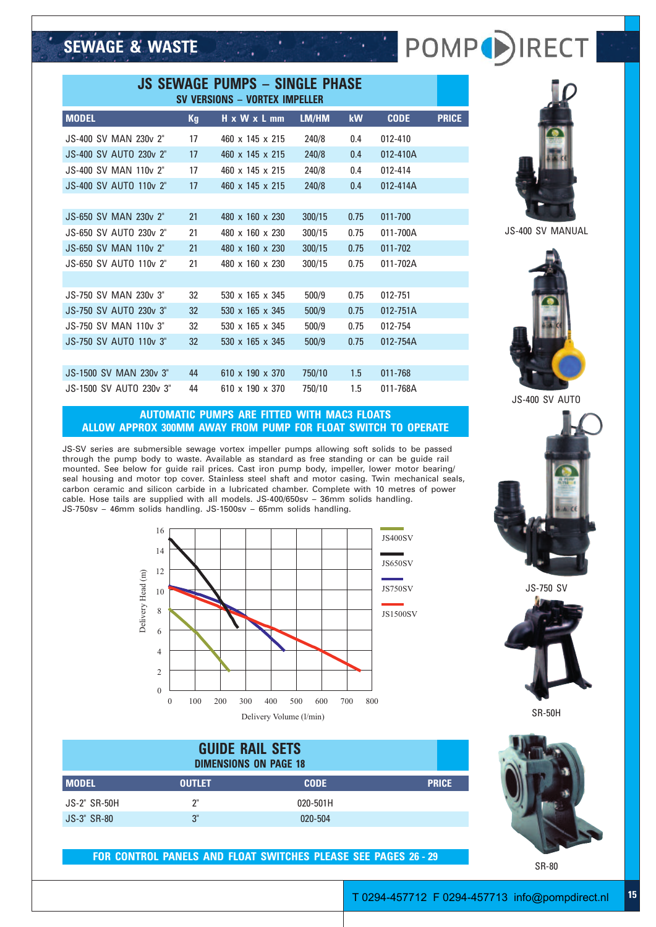# **SEWAGE & WASTE**

| <b>JS SEWAGE PUMPS - SINGLE PHASE</b><br><b>SV VERSIONS - VORTEX IMPELLER</b> |  |    |  |                             |  |        |           |             |              |
|-------------------------------------------------------------------------------|--|----|--|-----------------------------|--|--------|-----------|-------------|--------------|
| <b>MODEL</b>                                                                  |  | Kg |  | H x W x L mm                |  | LM/HM  | <b>kW</b> | <b>CODE</b> | <b>PRICE</b> |
| JS-400 SV MAN 230y 2"                                                         |  | 17 |  | $460 \times 145 \times 215$ |  | 240/8  | 0.4       | 012-410     |              |
| JS-400 SV AUTO 230y 2"                                                        |  | 17 |  | $460 \times 145 \times 215$ |  | 240/8  | 0.4       | 012-410A    |              |
| <b>JS-400 SV MAN 110v 2"</b>                                                  |  | 17 |  | 460 x 145 x 215             |  | 240/8  | 0.4       | 012-414     |              |
| <b>JS-400 SV AUTO 110v 2"</b>                                                 |  | 17 |  | $460 \times 145 \times 215$ |  | 240/8  | 0.4       | 012-414A    |              |
|                                                                               |  |    |  |                             |  |        |           |             |              |
| JS-650 SV MAN 230y 2"                                                         |  | 21 |  | 480 x 160 x 230             |  | 300/15 | 0.75      | 011-700     |              |
| JS-650 SV AUTO 230y 2"                                                        |  | 21 |  | 480 x 160 x 230             |  | 300/15 | 0.75      | 011-700A    |              |
| <b>JS-650 SV MAN 110v 2"</b>                                                  |  | 21 |  | 480 x 160 x 230             |  | 300/15 | 0.75      | 011-702     |              |
| JS-650 SV AUTO 110v 2"                                                        |  | 21 |  | 480 x 160 x 230             |  | 300/15 | 0.75      | 011-702A    |              |
|                                                                               |  |    |  |                             |  |        |           |             |              |
| JS-750 SV MAN 230y 3"                                                         |  | 32 |  | $530 \times 165 \times 345$ |  | 500/9  | 0.75      | 012-751     |              |
| JS-750 SV AUTO 230y 3"                                                        |  | 32 |  | 530 x 165 x 345             |  | 500/9  | 0.75      | 012-751A    |              |
| JS-750 SV MAN 110y 3"                                                         |  | 32 |  | $530 \times 165 \times 345$ |  | 500/9  | 0.75      | 012-754     |              |
| JS-750 SV AUTO 110v 3"                                                        |  | 32 |  | 530 x 165 x 345             |  | 500/9  | 0.75      | 012-754A    |              |
|                                                                               |  |    |  |                             |  |        |           |             |              |
| <b>JS-1500 SV MAN 230v 3"</b>                                                 |  | 44 |  | 610 x 190 x 370             |  | 750/10 | 1.5       | 011-768     |              |
| JS-1500 SV AUTO 230v 3"                                                       |  | 44 |  | $610 \times 190 \times 370$ |  | 750/10 | 1.5       | 011-768A    |              |
|                                                                               |  |    |  |                             |  |        |           |             |              |

### **AUTOMATIC PUMPS ARE FITTED WITH MAC3 FLOATS ALLOW APPROX 300MM AWAY FROM PUMP FOR FLOAT SWITCH TO OPERATE**

JS-SV series are submersible sewage vortex impeller pumps allowing soft solids to be passed through the pump body to waste. Available as standard as free standing or can be guide rail mounted. See below for guide rail prices. Cast iron pump body, impeller, lower motor bearing/ seal housing and motor top cover. Stainless steel shaft and motor casing. Twin mechanical seals, carbon ceramic and silicon carbide in a lubricated chamber. Complete with 10 metres of power cable. Hose tails are supplied with all models. JS-400/650sv – 36mm solids handling. JS-750sv – 46mm solids handling. JS-1500sv – 65mm solids handling.



**GUIDE RAIL SETS DIMENSIONS ON PAGE 18 MODEL OUTLET CODE PRICE** JS-2" SR-50H 2" 020-501H JS-3" SR-80 3" 020-504

### **FOR CONTROL PANELS AND FLOAT SWITCHES PLEASE SEE PAGES 26 - 29**



: POMP()RECT

JS-400 SV MANUAL



JS-400 SV AUTO



JS-750 SV



SR-50H



SR-80